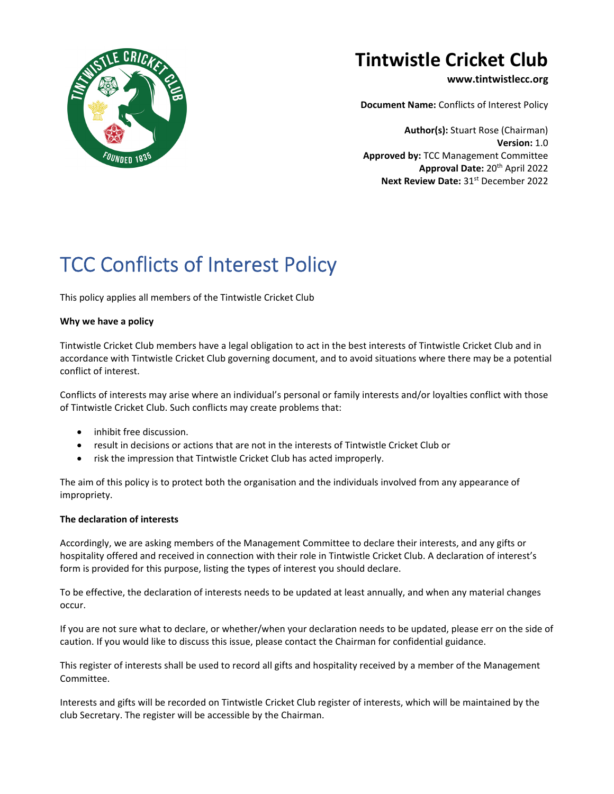

## **Tintwistle Cricket Club**

**www.tintwistlecc.org**

**Document Name:** Conflicts of Interest Policy

**Author(s):** Stuart Rose (Chairman) **Version:** 1.0 **Approved by:** TCC Management Committee **Approval Date:** 20th April 2022 **Next Review Date: 31st December 2022** 

# TCC Conflicts of Interest Policy

This policy applies all members of the Tintwistle Cricket Club

#### **Why we have a policy**

Tintwistle Cricket Club members have a legal obligation to act in the best interests of Tintwistle Cricket Club and in accordance with Tintwistle Cricket Club governing document, and to avoid situations where there may be a potential conflict of interest.

Conflicts of interests may arise where an individual's personal or family interests and/or loyalties conflict with those of Tintwistle Cricket Club. Such conflicts may create problems that:

- inhibit free discussion.
- result in decisions or actions that are not in the interests of Tintwistle Cricket Club or
- risk the impression that Tintwistle Cricket Club has acted improperly.

The aim of this policy is to protect both the organisation and the individuals involved from any appearance of impropriety.

#### **The declaration of interests**

Accordingly, we are asking members of the Management Committee to declare their interests, and any gifts or hospitality offered and received in connection with their role in Tintwistle Cricket Club. A declaration of interest's form is provided for this purpose, listing the types of interest you should declare.

To be effective, the declaration of interests needs to be updated at least annually, and when any material changes occur.

If you are not sure what to declare, or whether/when your declaration needs to be updated, please err on the side of caution. If you would like to discuss this issue, please contact the Chairman for confidential guidance.

This register of interests shall be used to record all gifts and hospitality received by a member of the Management Committee.

Interests and gifts will be recorded on Tintwistle Cricket Club register of interests, which will be maintained by the club Secretary. The register will be accessible by the Chairman.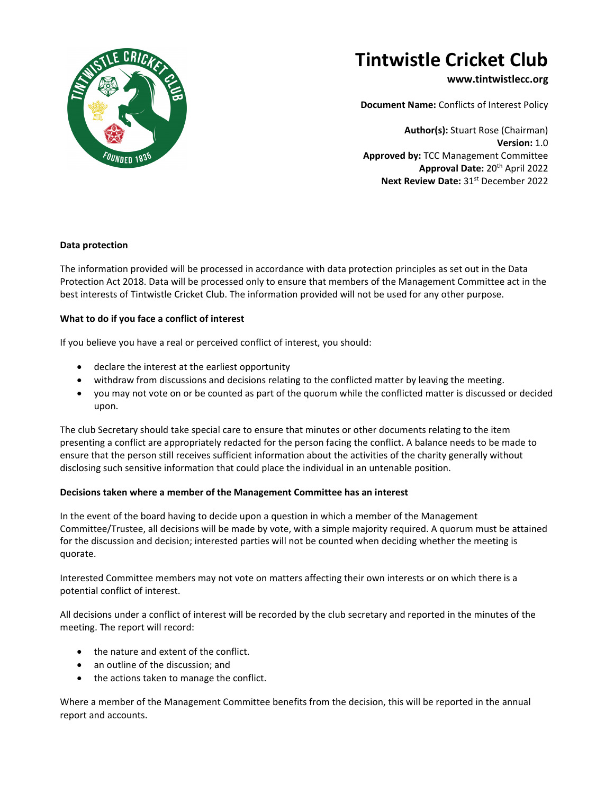

## **Tintwistle Cricket Club**

### **www.tintwistlecc.org**

**Document Name:** Conflicts of Interest Policy

**Author(s):** Stuart Rose (Chairman) **Version:** 1.0 **Approved by:** TCC Management Committee **Approval Date:** 20th April 2022 **Next Review Date: 31st December 2022** 

#### **Data protection**

The information provided will be processed in accordance with data protection principles as set out in the Data Protection Act 2018. Data will be processed only to ensure that members of the Management Committee act in the best interests of Tintwistle Cricket Club. The information provided will not be used for any other purpose.

#### **What to do if you face a conflict of interest**

If you believe you have a real or perceived conflict of interest, you should:

- declare the interest at the earliest opportunity
- withdraw from discussions and decisions relating to the conflicted matter by leaving the meeting.
- you may not vote on or be counted as part of the quorum while the conflicted matter is discussed or decided upon.

The club Secretary should take special care to ensure that minutes or other documents relating to the item presenting a conflict are appropriately redacted for the person facing the conflict. A balance needs to be made to ensure that the person still receives sufficient information about the activities of the charity generally without disclosing such sensitive information that could place the individual in an untenable position.

#### **Decisions taken where a member of the Management Committee has an interest**

In the event of the board having to decide upon a question in which a member of the Management Committee/Trustee, all decisions will be made by vote, with a simple majority required. A quorum must be attained for the discussion and decision; interested parties will not be counted when deciding whether the meeting is quorate.

Interested Committee members may not vote on matters affecting their own interests or on which there is a potential conflict of interest.

All decisions under a conflict of interest will be recorded by the club secretary and reported in the minutes of the meeting. The report will record:

- the nature and extent of the conflict.
- an outline of the discussion: and
- the actions taken to manage the conflict.

Where a member of the Management Committee benefits from the decision, this will be reported in the annual report and accounts.